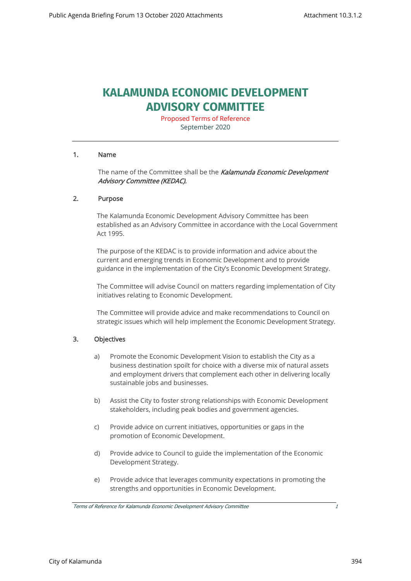# **KALAMUNDA ECONOMIC DEVELOPMENT ADVISORY COMMITTEE**

Proposed Terms of Reference September 2020

# 1. Name

The name of the Committee shall be the Kalamunda Economic Development Advisory Committee (KEDAC).

# 2. Purpose

The Kalamunda Economic Development Advisory Committee has been established as an Advisory Committee in accordance with the Local Government Act 1995.

The purpose of the KEDAC is to provide information and advice about the current and emerging trends in Economic Development and to provide guidance in the implementation of the City's Economic Development Strategy.

The Committee will advise Council on matters regarding implementation of City initiatives relating to Economic Development.

The Committee will provide advice and make recommendations to Council on strategic issues which will help implement the Economic Development Strategy.

# 3. Objectives

- a) Promote the Economic Development Vision to establish the City as a business destination spoilt for choice with a diverse mix of natural assets and employment drivers that complement each other in delivering locally sustainable jobs and businesses.
- b) Assist the City to foster strong relationships with Economic Development stakeholders, including peak bodies and government agencies.
- c) Provide advice on current initiatives, opportunities or gaps in the promotion of Economic Development.
- d) Provide advice to Council to guide the implementation of the Economic Development Strategy.
- e) Provide advice that leverages community expectations in promoting the strengths and opportunities in Economic Development.

Terms of Reference for Kalamunda Economic Development Advisory Committee 1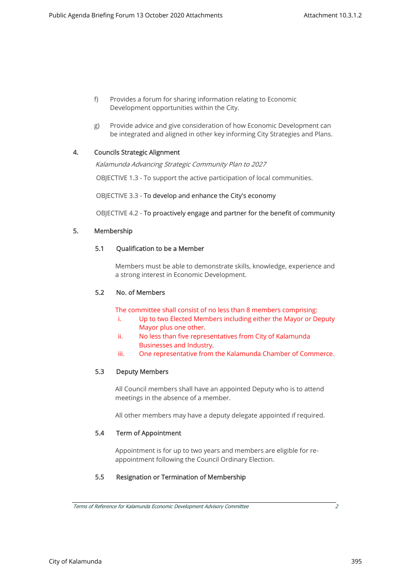- f) Provides a forum for sharing information relating to Economic Development opportunities within the City.
- g) Provide advice and give consideration of how Economic Development can be integrated and aligned in other key informing City Strategies and Plans.

# 4. Councils Strategic Alignment

Kalamunda Advancing Strategic Community Plan to 2027

OBJECTIVE 1.3 - To support the active participation of local communities.

OBJECTIVE 3.3 - To develop and enhance the City's economy

OBJECTIVE 4.2 - To proactively engage and partner for the benefit of community

# 5. Membership

# 5.1 Qualification to be a Member

Members must be able to demonstrate skills, knowledge, experience and a strong interest in Economic Development.

# 5.2 No. of Members

The committee shall consist of no less than 8 members comprising:

- i. Up to two Elected Members including either the Mayor or Deputy Mayor plus one other.
- ii. No less than five representatives from City of Kalamunda Businesses and Industry.
- iii. One representative from the Kalamunda Chamber of Commerce.

# 5.3 Deputy Members

All Council members shall have an appointed Deputy who is to attend meetings in the absence of a member.

All other members may have a deputy delegate appointed if required.

# 5.4 Term of Appointment

Appointment is for up to two years and members are eligible for reappointment following the Council Ordinary Election.

# 5.5 Resignation or Termination of Membership

City of Kalamunda 395

Terms of Reference for Kalamunda Economic Development Advisory Committee 2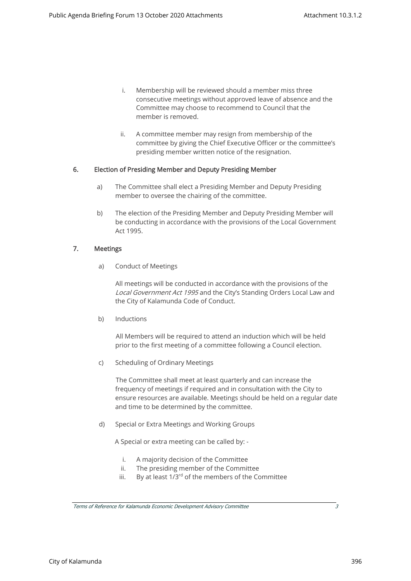- i. Membership will be reviewed should a member miss three consecutive meetings without approved leave of absence and the Committee may choose to recommend to Council that the member is removed.
- ii. A committee member may resign from membership of the committee by giving the Chief Executive Officer or the committee's presiding member written notice of the resignation.

# 6. Election of Presiding Member and Deputy Presiding Member

- a) The Committee shall elect a Presiding Member and Deputy Presiding member to oversee the chairing of the committee.
- b) The election of the Presiding Member and Deputy Presiding Member will be conducting in accordance with the provisions of the Local Government Act 1995.

# 7. Meetings

a) Conduct of Meetings

All meetings will be conducted in accordance with the provisions of the Local Government Act 1995 and the City's Standing Orders Local Law and the City of Kalamunda Code of Conduct.

b) Inductions

All Members will be required to attend an induction which will be held prior to the first meeting of a committee following a Council election.

c) Scheduling of Ordinary Meetings

The Committee shall meet at least quarterly and can increase the frequency of meetings if required and in consultation with the City to ensure resources are available. Meetings should be held on a regular date and time to be determined by the committee.

d) Special or Extra Meetings and Working Groups

A Special or extra meeting can be called by: -

- i. A majority decision of the Committee
- ii. The presiding member of the Committee
- iii. By at least  $1/3^{rd}$  of the members of the Committee

Terms of Reference for Kalamunda Economic Development Advisory Committee 3

City of Kalamunda 396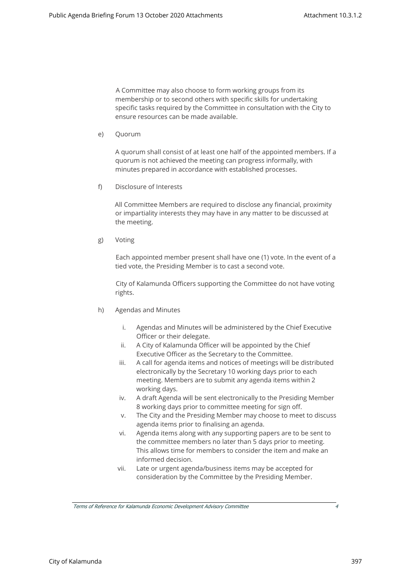A Committee may also choose to form working groups from its membership or to second others with specific skills for undertaking specific tasks required by the Committee in consultation with the City to ensure resources can be made available.

e) Quorum

A quorum shall consist of at least one half of the appointed members. If a quorum is not achieved the meeting can progress informally, with minutes prepared in accordance with established processes.

f) Disclosure of Interests

All Committee Members are required to disclose any financial, proximity or impartiality interests they may have in any matter to be discussed at the meeting.

g) Voting

Each appointed member present shall have one (1) vote. In the event of a tied vote, the Presiding Member is to cast a second vote.

City of Kalamunda Officers supporting the Committee do not have voting rights.

- h) Agendas and Minutes
	- i. Agendas and Minutes will be administered by the Chief Executive Officer or their delegate.
	- ii. A City of Kalamunda Officer will be appointed by the Chief Executive Officer as the Secretary to the Committee.
	- iii. A call for agenda items and notices of meetings will be distributed electronically by the Secretary 10 working days prior to each meeting. Members are to submit any agenda items within 2 working days.
	- iv. A draft Agenda will be sent electronically to the Presiding Member 8 working days prior to committee meeting for sign off.
	- v. The City and the Presiding Member may choose to meet to discuss agenda items prior to finalising an agenda.
	- vi. Agenda items along with any supporting papers are to be sent to the committee members no later than 5 days prior to meeting. This allows time for members to consider the item and make an informed decision.
	- vii. Late or urgent agenda/business items may be accepted for consideration by the Committee by the Presiding Member.

Terms of Reference for Kalamunda Economic Development Advisory Committee 4